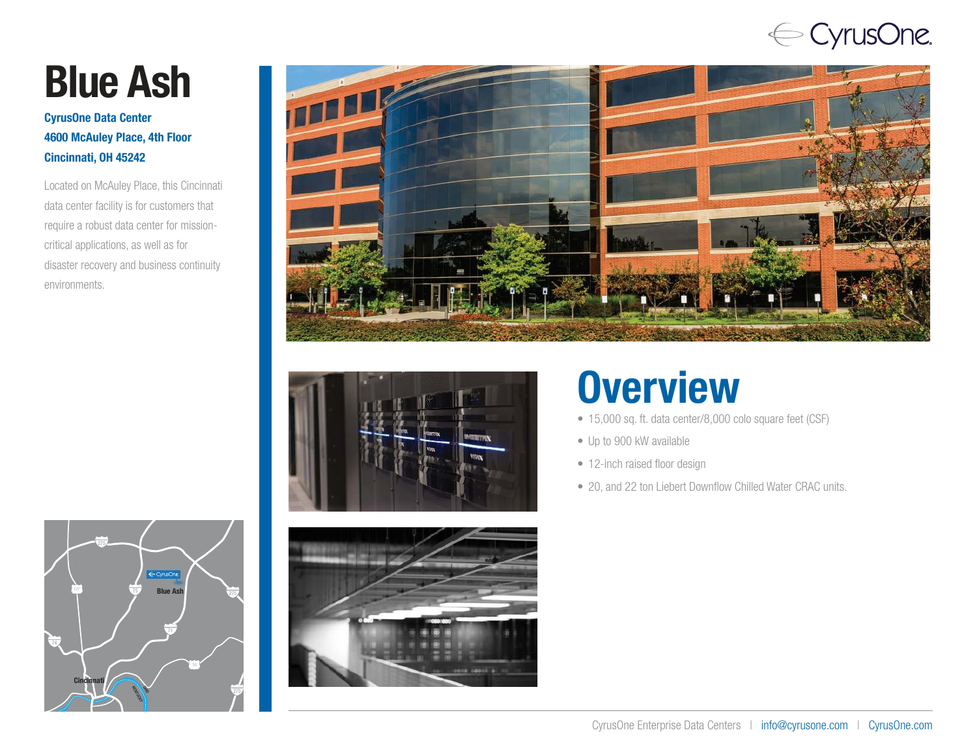## ← CyrusOne.

# Blue Ash

#### CyrusOne Data Center 4600 McAuley Place, 4th Floor Cincinnati, OH 45242

Located on McAuley Place, this Cincinnati data center facility is for customers that require a robust data center for missioncritical applications, as well as for disaster recovery and business continuity environments.





## **Overview**

- 15,000 sq. ft. data center/8,000 colo square feet (CSF)
- Up to 900 kW available
- 12-inch raised floor design
- 20, and 22 ton Liebert Downflow Chilled Water CRAC units.